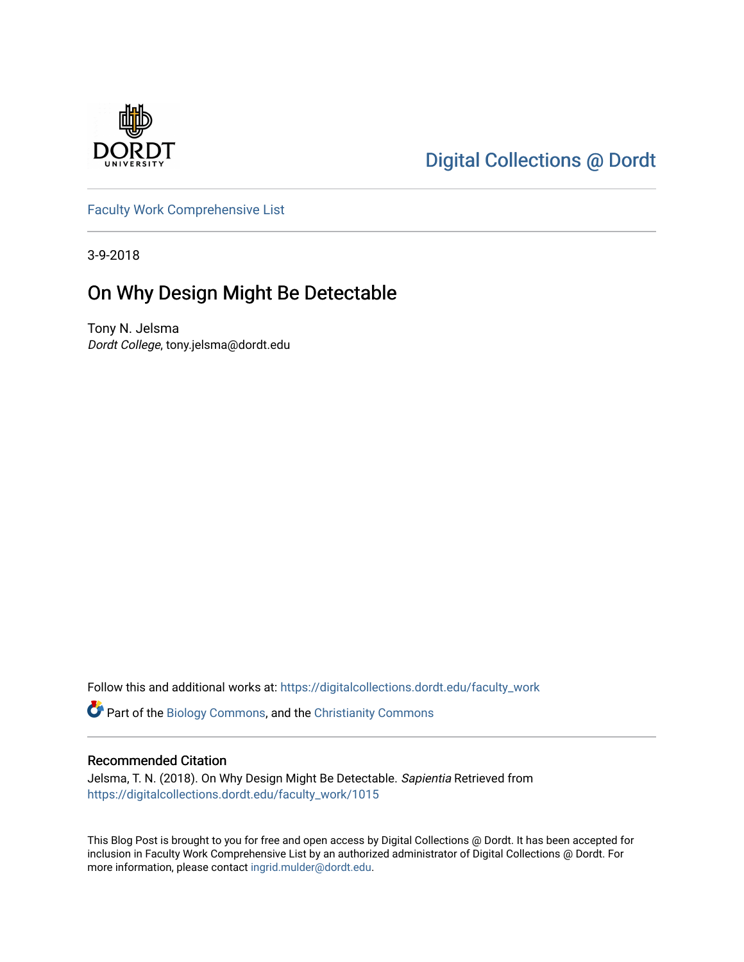

# [Digital Collections @ Dordt](https://digitalcollections.dordt.edu/)

[Faculty Work Comprehensive List](https://digitalcollections.dordt.edu/faculty_work)

3-9-2018

## On Why Design Might Be Detectable

Tony N. Jelsma Dordt College, tony.jelsma@dordt.edu

Follow this and additional works at: [https://digitalcollections.dordt.edu/faculty\\_work](https://digitalcollections.dordt.edu/faculty_work?utm_source=digitalcollections.dordt.edu%2Ffaculty_work%2F1015&utm_medium=PDF&utm_campaign=PDFCoverPages) 

Part of the [Biology Commons,](http://network.bepress.com/hgg/discipline/41?utm_source=digitalcollections.dordt.edu%2Ffaculty_work%2F1015&utm_medium=PDF&utm_campaign=PDFCoverPages) and the [Christianity Commons](http://network.bepress.com/hgg/discipline/1181?utm_source=digitalcollections.dordt.edu%2Ffaculty_work%2F1015&utm_medium=PDF&utm_campaign=PDFCoverPages)

#### Recommended Citation

Jelsma, T. N. (2018). On Why Design Might Be Detectable. Sapientia Retrieved from [https://digitalcollections.dordt.edu/faculty\\_work/1015](https://digitalcollections.dordt.edu/faculty_work/1015?utm_source=digitalcollections.dordt.edu%2Ffaculty_work%2F1015&utm_medium=PDF&utm_campaign=PDFCoverPages)

This Blog Post is brought to you for free and open access by Digital Collections @ Dordt. It has been accepted for inclusion in Faculty Work Comprehensive List by an authorized administrator of Digital Collections @ Dordt. For more information, please contact [ingrid.mulder@dordt.edu.](mailto:ingrid.mulder@dordt.edu)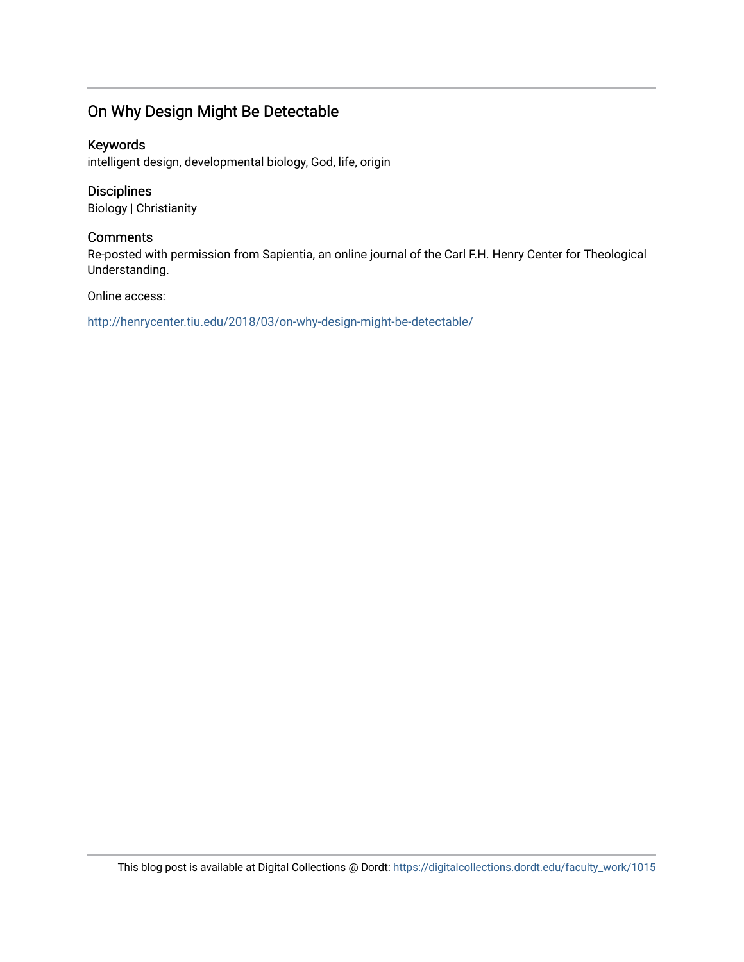### On Why Design Might Be Detectable

#### Keywords

intelligent design, developmental biology, God, life, origin

#### Disciplines

Biology | Christianity

#### **Comments**

Re-posted with permission from Sapientia, an online journal of the Carl F.H. Henry Center for Theological Understanding.

#### Online access:

<http://henrycenter.tiu.edu/2018/03/on-why-design-might-be-detectable/>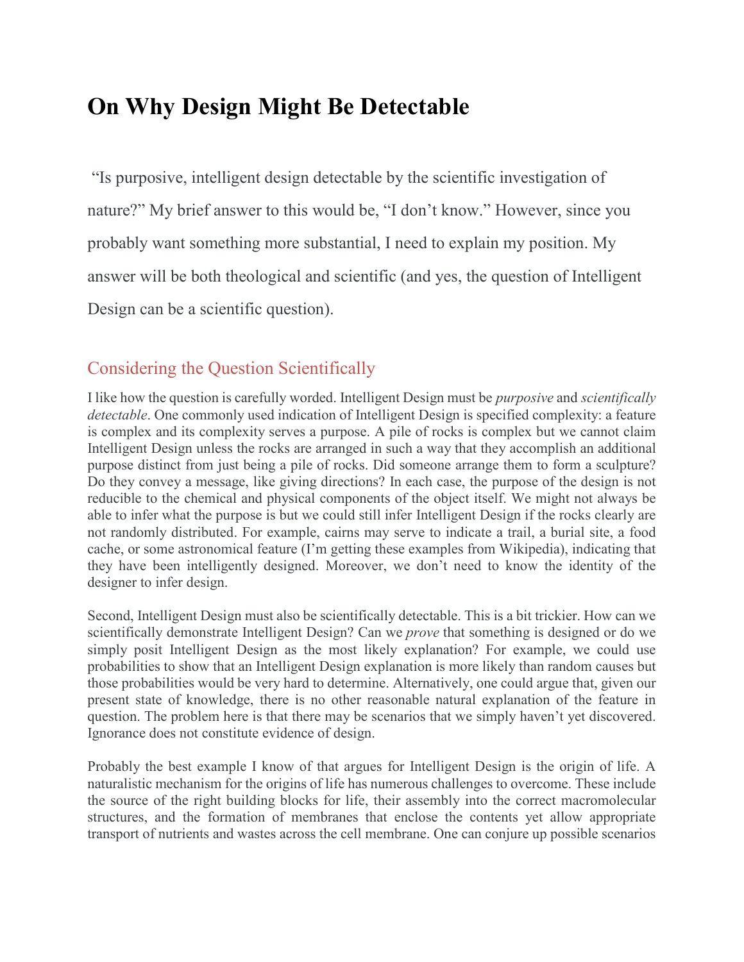# **On Why Design Might Be Detectable**

"Is purposive, intelligent design detectable by the scientific investigation of nature?" My brief answer to this would be, "I don't know." However, since you probably want something more substantial, I need to explain my position. My answer will be both theological and scientific (and yes, the question of Intelligent Design can be a scientific question).

## Considering the Question Scientifically

I like how the question is carefully worded. Intelligent Design must be *purposive* and *scientifically detectable*. One commonly used indication of Intelligent Design is specified complexity: a feature is complex and its complexity serves a purpose. A pile of rocks is complex but we cannot claim Intelligent Design unless the rocks are arranged in such a way that they accomplish an additional purpose distinct from just being a pile of rocks. Did someone arrange them to form a sculpture? Do they convey a message, like giving directions? In each case, the purpose of the design is not reducible to the chemical and physical components of the object itself. We might not always be able to infer what the purpose is but we could still infer Intelligent Design if the rocks clearly are not randomly distributed. For example, cairns may serve to indicate a trail, a burial site, a food cache, or some astronomical feature (I'm getting these examples from Wikipedia), indicating that they have been intelligently designed. Moreover, we don't need to know the identity of the designer to infer design.

Second, Intelligent Design must also be scientifically detectable. This is a bit trickier. How can we scientifically demonstrate Intelligent Design? Can we *prove* that something is designed or do we simply posit Intelligent Design as the most likely explanation? For example, we could use probabilities to show that an Intelligent Design explanation is more likely than random causes but those probabilities would be very hard to determine. Alternatively, one could argue that, given our present state of knowledge, there is no other reasonable natural explanation of the feature in question. The problem here is that there may be scenarios that we simply haven't yet discovered. Ignorance does not constitute evidence of design.

Probably the best example I know of that argues for Intelligent Design is the origin of life. A naturalistic mechanism for the origins of life has numerous challenges to overcome. These include the source of the right building blocks for life, their assembly into the correct macromolecular structures, and the formation of membranes that enclose the contents yet allow appropriate transport of nutrients and wastes across the cell membrane. One can conjure up possible scenarios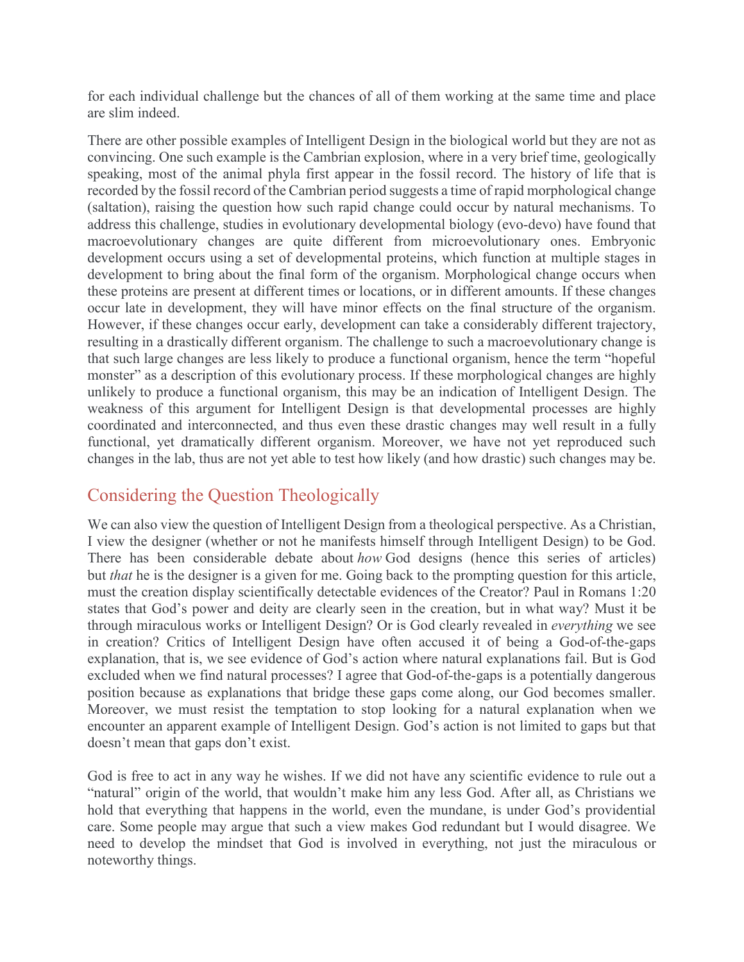for each individual challenge but the chances of all of them working at the same time and place are slim indeed.

There are other possible examples of Intelligent Design in the biological world but they are not as convincing. One such example is the Cambrian explosion, where in a very brief time, geologically speaking, most of the animal phyla first appear in the fossil record. The history of life that is recorded by the fossil record of the Cambrian period suggests a time of rapid morphological change (saltation), raising the question how such rapid change could occur by natural mechanisms. To address this challenge, studies in evolutionary developmental biology (evo-devo) have found that macroevolutionary changes are quite different from microevolutionary ones. Embryonic development occurs using a set of developmental proteins, which function at multiple stages in development to bring about the final form of the organism. Morphological change occurs when these proteins are present at different times or locations, or in different amounts. If these changes occur late in development, they will have minor effects on the final structure of the organism. However, if these changes occur early, development can take a considerably different trajectory, resulting in a drastically different organism. The challenge to such a macroevolutionary change is that such large changes are less likely to produce a functional organism, hence the term "hopeful monster" as a description of this evolutionary process. If these morphological changes are highly unlikely to produce a functional organism, this may be an indication of Intelligent Design. The weakness of this argument for Intelligent Design is that developmental processes are highly coordinated and interconnected, and thus even these drastic changes may well result in a fully functional, yet dramatically different organism. Moreover, we have not yet reproduced such changes in the lab, thus are not yet able to test how likely (and how drastic) such changes may be.

## Considering the Question Theologically

We can also view the question of Intelligent Design from a theological perspective. As a Christian, I view the designer (whether or not he manifests himself through Intelligent Design) to be God. There has been considerable debate about *how* God designs (hence this series of articles) but *that* he is the designer is a given for me. Going back to the prompting question for this article, must the creation display scientifically detectable evidences of the Creator? Paul in Romans 1:20 states that God's power and deity are clearly seen in the creation, but in what way? Must it be through miraculous works or Intelligent Design? Or is God clearly revealed in *everything* we see in creation? Critics of Intelligent Design have often accused it of being a God-of-the-gaps explanation, that is, we see evidence of God's action where natural explanations fail. But is God excluded when we find natural processes? I agree that God-of-the-gaps is a potentially dangerous position because as explanations that bridge these gaps come along, our God becomes smaller. Moreover, we must resist the temptation to stop looking for a natural explanation when we encounter an apparent example of Intelligent Design. God's action is not limited to gaps but that doesn't mean that gaps don't exist.

God is free to act in any way he wishes. If we did not have any scientific evidence to rule out a "natural" origin of the world, that wouldn't make him any less God. After all, as Christians we hold that everything that happens in the world, even the mundane, is under God's providential care. Some people may argue that such a view makes God redundant but I would disagree. We need to develop the mindset that God is involved in everything, not just the miraculous or noteworthy things.